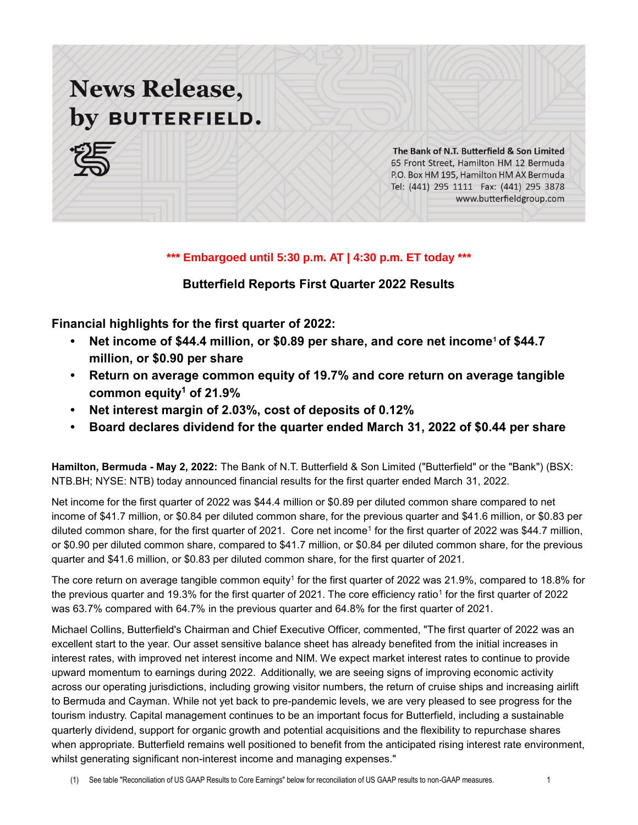# **News Release,** by BUTTERFIELD.



The Bank of N.T. Butterfield & Son Limited 65 Front Street, Hamilton HM 12 Bermuda P.O. Box HM 195, Hamilton HM AX Bermuda Tel: (441) 295 1111 Fax: (441) 295 3878 www.butterfieldgroup.com

### **\*\*\* Embargoed until 5:30 p.m. AT | 4:30 p.m. ET today \*\*\***

### **Butterfield Reports First Quarter 2022 Results**

**Financial highlights for the first quarter of 2022:**

- **Net income of \$44.4 million, or \$0.89 per share, and core net income<sup>1</sup> of \$44.7 million, or \$0.90 per share**
- **• Return on average common equity of 19.7% and core return on average tangible common equity<sup>1</sup> of 21.9%**
- **• Net interest margin of 2.03%, cost of deposits of 0.12%**
- **• Board declares dividend for the quarter ended March 31, 2022 of \$0.44 per share**

**Hamilton, Bermuda - May 2, 2022:** The Bank of N.T. Butterfield & Son Limited ("Butterfield" or the "Bank") (BSX: NTB.BH; NYSE: NTB) today announced financial results for the first quarter ended March 31, 2022.

Net income for the first quarter of 2022 was \$44.4 million or \$0.89 per diluted common share compared to net income of \$41.7 million, or \$0.84 per diluted common share, for the previous quarter and \$41.6 million, or \$0.83 per diluted common share, for the first quarter of 2021. Core net income<sup>1</sup> for the first quarter of 2022 was \$44.7 million, or \$0.90 per diluted common share, compared to \$41.7 million, or \$0.84 per diluted common share, for the previous quarter and \$41.6 million, or \$0.83 per diluted common share, for the first quarter of 2021.

The core return on average tangible common equity<sup>1</sup> for the first quarter of 2022 was 21.9%, compared to 18.8% for the previous quarter and 19.3% for the first quarter of 2021. The core efficiency ratio<sup>1</sup> for the first quarter of 2022 was 63.7% compared with 64.7% in the previous quarter and 64.8% for the first quarter of 2021.

Michael Collins, Butterfield's Chairman and Chief Executive Officer, commented, "The first quarter of 2022 was an excellent start to the year. Our asset sensitive balance sheet has already benefited from the initial increases in interest rates, with improved net interest income and NIM. We expect market interest rates to continue to provide upward momentum to earnings during 2022. Additionally, we are seeing signs of improving economic activity across our operating jurisdictions, including growing visitor numbers, the return of cruise ships and increasing airlift to Bermuda and Cayman. While not yet back to pre-pandemic levels, we are very pleased to see progress for the tourism industry. Capital management continues to be an important focus for Butterfield, including a sustainable quarterly dividend, support for organic growth and potential acquisitions and the flexibility to repurchase shares when appropriate. Butterfield remains well positioned to benefit from the anticipated rising interest rate environment, whilst generating significant non-interest income and managing expenses."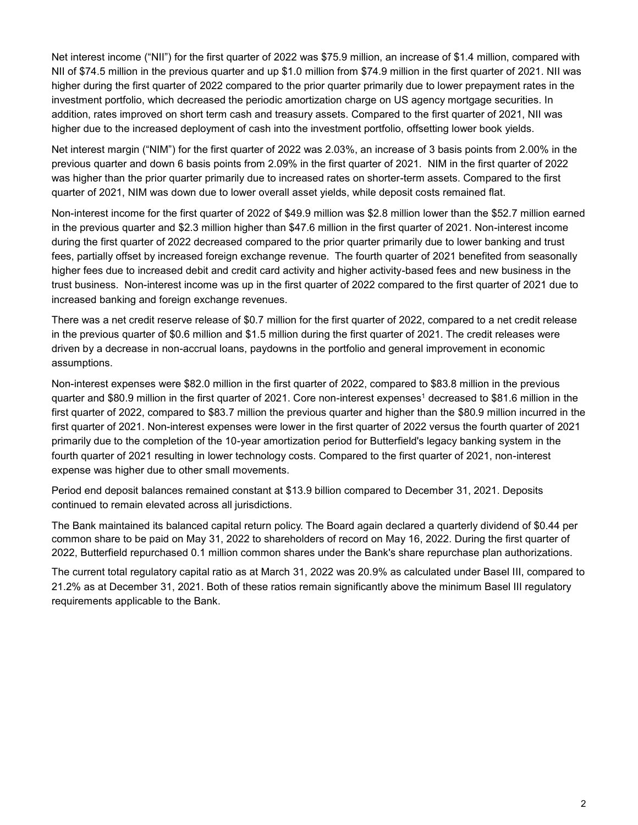Net interest income ("NII") for the first quarter of 2022 was \$75.9 million, an increase of \$1.4 million, compared with NII of \$74.5 million in the previous quarter and up \$1.0 million from \$74.9 million in the first quarter of 2021. NII was higher during the first quarter of 2022 compared to the prior quarter primarily due to lower prepayment rates in the investment portfolio, which decreased the periodic amortization charge on US agency mortgage securities. In addition, rates improved on short term cash and treasury assets. Compared to the first quarter of 2021, NII was higher due to the increased deployment of cash into the investment portfolio, offsetting lower book yields.

Net interest margin ("NIM") for the first quarter of 2022 was 2.03%, an increase of 3 basis points from 2.00% in the previous quarter and down 6 basis points from 2.09% in the first quarter of 2021. NIM in the first quarter of 2022 was higher than the prior quarter primarily due to increased rates on shorter-term assets. Compared to the first quarter of 2021, NIM was down due to lower overall asset yields, while deposit costs remained flat.

Non-interest income for the first quarter of 2022 of \$49.9 million was \$2.8 million lower than the \$52.7 million earned in the previous quarter and \$2.3 million higher than \$47.6 million in the first quarter of 2021. Non-interest income during the first quarter of 2022 decreased compared to the prior quarter primarily due to lower banking and trust fees, partially offset by increased foreign exchange revenue. The fourth quarter of 2021 benefited from seasonally higher fees due to increased debit and credit card activity and higher activity-based fees and new business in the trust business. Non-interest income was up in the first quarter of 2022 compared to the first quarter of 2021 due to increased banking and foreign exchange revenues.

There was a net credit reserve release of \$0.7 million for the first quarter of 2022, compared to a net credit release in the previous quarter of \$0.6 million and \$1.5 million during the first quarter of 2021. The credit releases were driven by a decrease in non-accrual loans, paydowns in the portfolio and general improvement in economic assumptions.

Non-interest expenses were \$82.0 million in the first quarter of 2022, compared to \$83.8 million in the previous quarter and \$80.9 million in the first quarter of 2021. Core non-interest expenses<sup>1</sup> decreased to \$81.6 million in the first quarter of 2022, compared to \$83.7 million the previous quarter and higher than the \$80.9 million incurred in the first quarter of 2021. Non-interest expenses were lower in the first quarter of 2022 versus the fourth quarter of 2021 primarily due to the completion of the 10-year amortization period for Butterfield's legacy banking system in the fourth quarter of 2021 resulting in lower technology costs. Compared to the first quarter of 2021, non-interest expense was higher due to other small movements.

Period end deposit balances remained constant at \$13.9 billion compared to December 31, 2021. Deposits continued to remain elevated across all jurisdictions.

The Bank maintained its balanced capital return policy. The Board again declared a quarterly dividend of \$0.44 per common share to be paid on May 31, 2022 to shareholders of record on May 16, 2022. During the first quarter of 2022, Butterfield repurchased 0.1 million common shares under the Bank's share repurchase plan authorizations.

The current total regulatory capital ratio as at March 31, 2022 was 20.9% as calculated under Basel III, compared to 21.2% as at December 31, 2021. Both of these ratios remain significantly above the minimum Basel III regulatory requirements applicable to the Bank.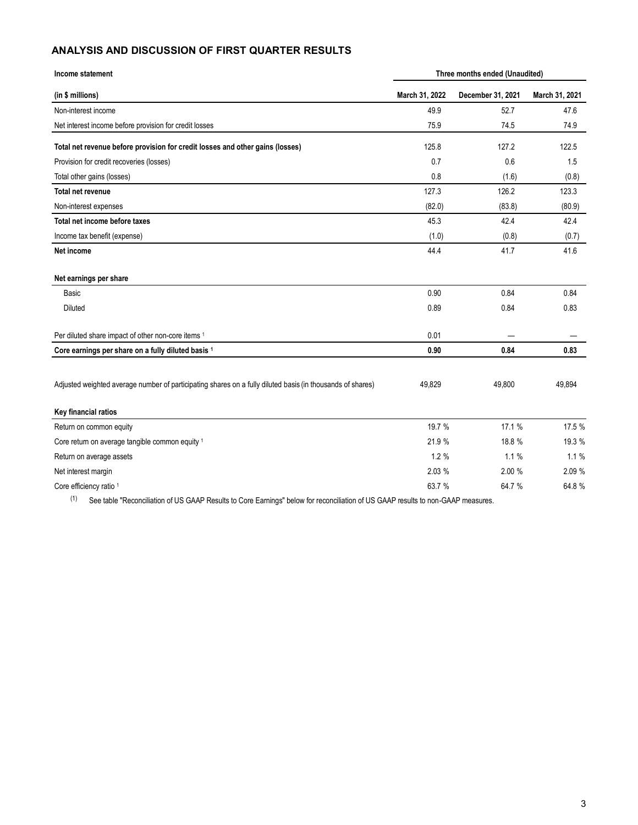### **ANALYSIS AND DISCUSSION OF FIRST QUARTER RESULTS**

| Income statement                                                                                           | Three months ended (Unaudited) |                   |                |  |
|------------------------------------------------------------------------------------------------------------|--------------------------------|-------------------|----------------|--|
| (in \$ millions)                                                                                           | March 31, 2022                 | December 31, 2021 | March 31, 2021 |  |
| Non-interest income                                                                                        | 49.9                           | 52.7              | 47.6           |  |
| Net interest income before provision for credit losses                                                     | 75.9                           | 74.5              | 74.9           |  |
| Total net revenue before provision for credit losses and other gains (losses)                              | 125.8                          | 127.2             | 122.5          |  |
| Provision for credit recoveries (losses)                                                                   | 0.7                            | 0.6               | 1.5            |  |
| Total other gains (losses)                                                                                 | 0.8                            | (1.6)             | (0.8)          |  |
| <b>Total net revenue</b>                                                                                   | 127.3                          | 126.2             | 123.3          |  |
| Non-interest expenses                                                                                      | (82.0)                         | (83.8)            | (80.9)         |  |
| Total net income before taxes                                                                              | 45.3                           | 42.4              | 42.4           |  |
| Income tax benefit (expense)                                                                               | (1.0)                          | (0.8)             | (0.7)          |  |
| Net income                                                                                                 | 44.4                           | 41.7              | 41.6           |  |
| Net earnings per share                                                                                     |                                |                   |                |  |
| Basic                                                                                                      | 0.90                           | 0.84              | 0.84           |  |
| Diluted                                                                                                    | 0.89                           | 0.84              | 0.83           |  |
| Per diluted share impact of other non-core items 1                                                         | 0.01                           |                   |                |  |
| Core earnings per share on a fully diluted basis 1                                                         | 0.90                           | 0.84              | 0.83           |  |
| Adjusted weighted average number of participating shares on a fully diluted basis (in thousands of shares) | 49,829                         | 49,800            | 49.894         |  |
| Key financial ratios                                                                                       |                                |                   |                |  |
| Return on common equity                                                                                    | 19.7 %                         | 17.1 %            | 17.5 %         |  |
| Core return on average tangible common equity 1                                                            | 21.9%                          | 18.8%             | 19.3 %         |  |
| Return on average assets                                                                                   | 1.2%                           | 1.1%              | 1.1%           |  |
| Net interest margin                                                                                        | 2.03 %                         | 2.00 %            | 2.09 %         |  |
| Core efficiency ratio 1                                                                                    | 63.7 %                         | 64.7 %            | 64.8%          |  |

(1) See table "Reconciliation of US GAAP Results to Core Earnings" below for reconciliation of US GAAP results to non-GAAP measures.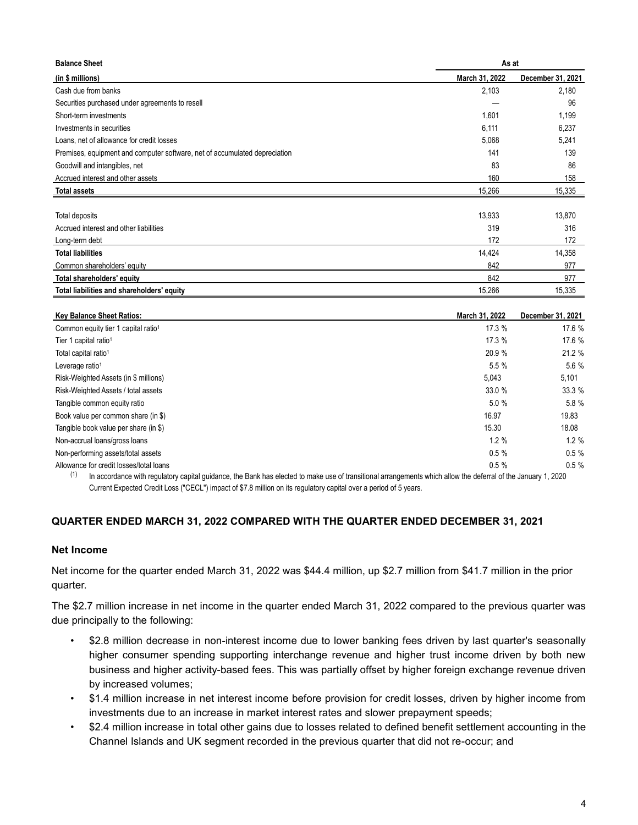| <b>Balance Sheet</b>                                                       | As at          |                   |  |
|----------------------------------------------------------------------------|----------------|-------------------|--|
| (in \$ millions)                                                           | March 31, 2022 | December 31, 2021 |  |
| Cash due from banks                                                        | 2,103          | 2,180             |  |
| Securities purchased under agreements to resell                            |                | 96                |  |
| Short-term investments                                                     | 1,601          | 1,199             |  |
| Investments in securities                                                  | 6,111          | 6,237             |  |
| Loans, net of allowance for credit losses                                  | 5,068          | 5,241             |  |
| Premises, equipment and computer software, net of accumulated depreciation | 141            | 139               |  |
| Goodwill and intangibles, net                                              | 83             | 86                |  |
| Accrued interest and other assets                                          | 160            | 158               |  |
| <b>Total assets</b>                                                        | 15,266         | 15,335            |  |
|                                                                            |                |                   |  |
| Total deposits                                                             | 13,933         | 13,870            |  |
| Accrued interest and other liabilities                                     | 319            | 316               |  |
| Long-term debt                                                             | 172            | 172               |  |
| <b>Total liabilities</b>                                                   | 14,424         | 14,358            |  |
| Common shareholders' equity                                                | 842            | 977               |  |
| Total shareholders' equity                                                 | 842            | 977               |  |
| Total liabilities and shareholders' equity                                 | 15,266         | 15,335            |  |

| <b>Key Balance Sheet Ratios:</b>                                                     | March 31, 2022 | December 31, 2021 |
|--------------------------------------------------------------------------------------|----------------|-------------------|
| Common equity tier 1 capital ratio <sup>1</sup>                                      | 17.3 %         | 17.6 %            |
| Tier 1 capital ratio <sup>1</sup>                                                    | 17.3 %         | 17.6 %            |
| Total capital ratio <sup>1</sup>                                                     | 20.9 %         | 21.2 %            |
| Leverage ratio <sup>1</sup>                                                          | 5.5%           | 5.6 %             |
| Risk-Weighted Assets (in \$ millions)                                                | 5,043          | 5,101             |
| Risk-Weighted Assets / total assets                                                  | 33.0 %         | 33.3%             |
| Tangible common equity ratio                                                         | 5.0%           | 5.8 %             |
| Book value per common share (in \$)                                                  | 16.97          | 19.83             |
| Tangible book value per share (in \$)                                                | 15.30          | 18.08             |
| Non-accrual loans/gross loans                                                        | 1.2%           | 1.2%              |
| Non-performing assets/total assets                                                   | 0.5%           | 0.5%              |
| Allowance for credit losses/total loans<br>$\sim$ $\sim$ $\sim$ $\sim$ $\sim$ $\sim$ | $0.5 \%$       | 0.5%<br>1.0000    |

<sup>(1)</sup> In accordance with regulatory capital guidance, the Bank has elected to make use of transitional arrangements which allow the deferral of the January 1, 2020 Current Expected Credit Loss ("CECL") impact of \$7.8 million on its regulatory capital over a period of 5 years.

### **QUARTER ENDED MARCH 31, 2022 COMPARED WITH THE QUARTER ENDED DECEMBER 31, 2021**

### **Net Income**

Net income for the quarter ended March 31, 2022 was \$44.4 million, up \$2.7 million from \$41.7 million in the prior quarter.

The \$2.7 million increase in net income in the quarter ended March 31, 2022 compared to the previous quarter was due principally to the following:

- \$2.8 million decrease in non-interest income due to lower banking fees driven by last quarter's seasonally higher consumer spending supporting interchange revenue and higher trust income driven by both new business and higher activity-based fees. This was partially offset by higher foreign exchange revenue driven by increased volumes;
- \$1.4 million increase in net interest income before provision for credit losses, driven by higher income from investments due to an increase in market interest rates and slower prepayment speeds;
- \$2.4 million increase in total other gains due to losses related to defined benefit settlement accounting in the Channel Islands and UK segment recorded in the previous quarter that did not re-occur; and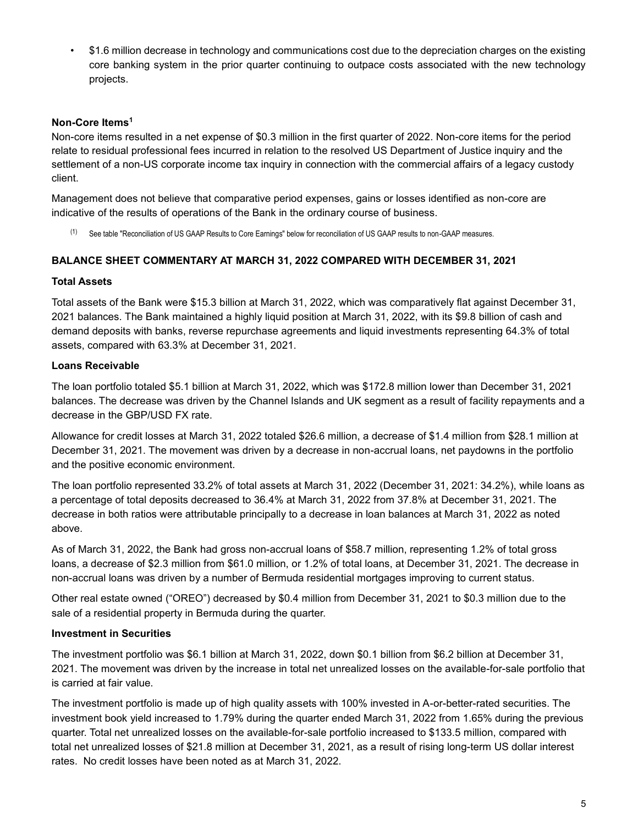• \$1.6 million decrease in technology and communications cost due to the depreciation charges on the existing core banking system in the prior quarter continuing to outpace costs associated with the new technology projects.

### **Non-Core Items<sup>1</sup>**

Non-core items resulted in a net expense of \$0.3 million in the first quarter of 2022. Non-core items for the period relate to residual professional fees incurred in relation to the resolved US Department of Justice inquiry and the settlement of a non-US corporate income tax inquiry in connection with the commercial affairs of a legacy custody client.

Management does not believe that comparative period expenses, gains or losses identified as non-core are indicative of the results of operations of the Bank in the ordinary course of business.

(1) See table "Reconciliation of US GAAP Results to Core Earnings" below for reconciliation of US GAAP results to non-GAAP measures.

### **BALANCE SHEET COMMENTARY AT MARCH 31, 2022 COMPARED WITH DECEMBER 31, 2021**

### **Total Assets**

Total assets of the Bank were \$15.3 billion at March 31, 2022, which was comparatively flat against December 31, 2021 balances. The Bank maintained a highly liquid position at March 31, 2022, with its \$9.8 billion of cash and demand deposits with banks, reverse repurchase agreements and liquid investments representing 64.3% of total assets, compared with 63.3% at December 31, 2021.

### **Loans Receivable**

The loan portfolio totaled \$5.1 billion at March 31, 2022, which was \$172.8 million lower than December 31, 2021 balances. The decrease was driven by the Channel Islands and UK segment as a result of facility repayments and a decrease in the GBP/USD FX rate.

Allowance for credit losses at March 31, 2022 totaled \$26.6 million, a decrease of \$1.4 million from \$28.1 million at December 31, 2021. The movement was driven by a decrease in non-accrual loans, net paydowns in the portfolio and the positive economic environment.

The loan portfolio represented 33.2% of total assets at March 31, 2022 (December 31, 2021: 34.2%), while loans as a percentage of total deposits decreased to 36.4% at March 31, 2022 from 37.8% at December 31, 2021. The decrease in both ratios were attributable principally to a decrease in loan balances at March 31, 2022 as noted above.

As of March 31, 2022, the Bank had gross non-accrual loans of \$58.7 million, representing 1.2% of total gross loans, a decrease of \$2.3 million from \$61.0 million, or 1.2% of total loans, at December 31, 2021. The decrease in non-accrual loans was driven by a number of Bermuda residential mortgages improving to current status.

Other real estate owned ("OREO") decreased by \$0.4 million from December 31, 2021 to \$0.3 million due to the sale of a residential property in Bermuda during the quarter.

### **Investment in Securities**

The investment portfolio was \$6.1 billion at March 31, 2022, down \$0.1 billion from \$6.2 billion at December 31, 2021. The movement was driven by the increase in total net unrealized losses on the available-for-sale portfolio that is carried at fair value.

The investment portfolio is made up of high quality assets with 100% invested in A-or-better-rated securities. The investment book yield increased to 1.79% during the quarter ended March 31, 2022 from 1.65% during the previous quarter. Total net unrealized losses on the available-for-sale portfolio increased to \$133.5 million, compared with total net unrealized losses of \$21.8 million at December 31, 2021, as a result of rising long-term US dollar interest rates. No credit losses have been noted as at March 31, 2022.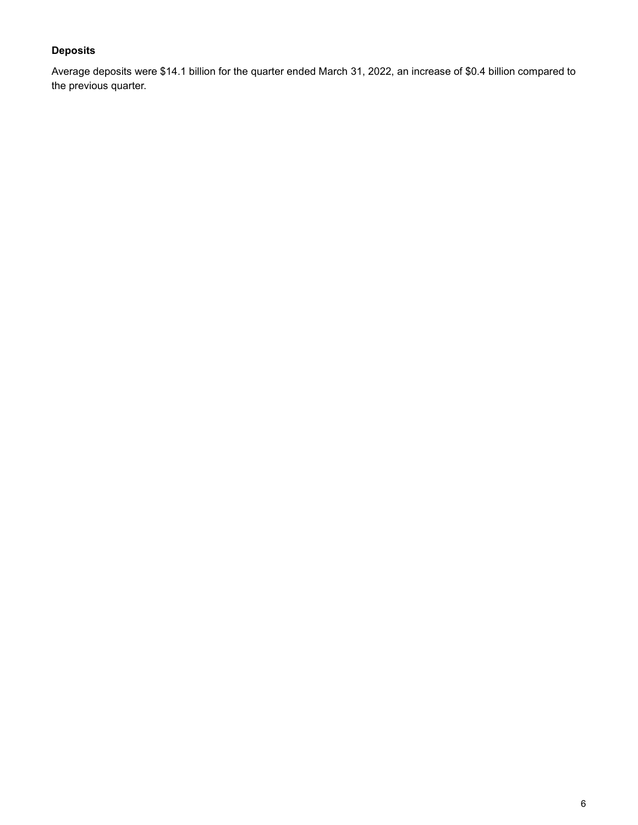## **Deposits**

Average deposits were \$14.1 billion for the quarter ended March 31, 2022, an increase of \$0.4 billion compared to the previous quarter.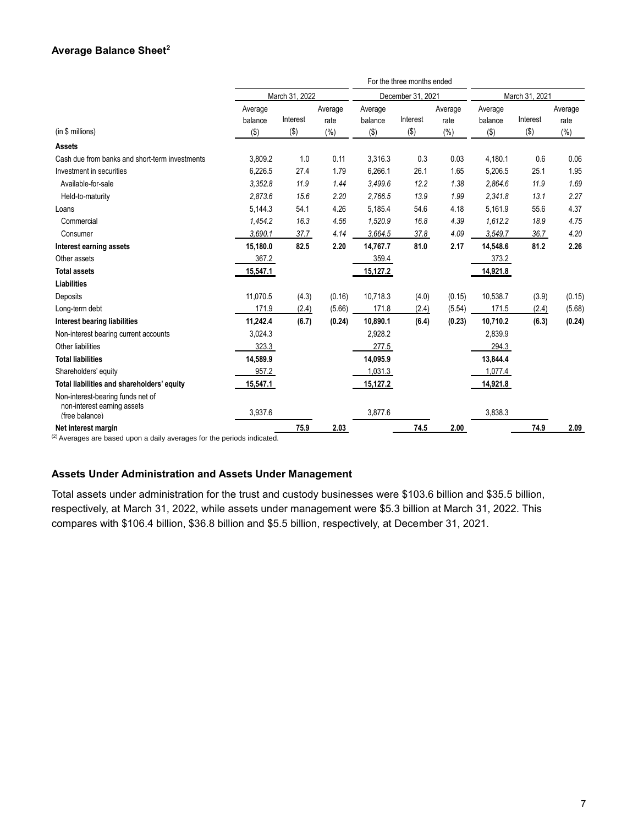### **Average Balance Sheet<sup>2</sup>**

|                                                                                    |                    |          |                   |                    | For the three months ended |                 |                    |          |                 |
|------------------------------------------------------------------------------------|--------------------|----------|-------------------|--------------------|----------------------------|-----------------|--------------------|----------|-----------------|
|                                                                                    | March 31, 2022     |          | December 31, 2021 |                    |                            | March 31, 2021  |                    |          |                 |
|                                                                                    | Average<br>balance | Interest | Average<br>rate   | Average<br>balance | Interest                   | Average<br>rate | Average<br>balance | Interest | Average<br>rate |
| (in \$ millions)                                                                   | $(\$)$             | $($ \$)  | (%)               | $($ \$)            | $(\$)$                     | (%)             | $(\$)$             | $(\$)$   | (%)             |
| <b>Assets</b>                                                                      |                    |          |                   |                    |                            |                 |                    |          |                 |
| Cash due from banks and short-term investments                                     | 3,809.2            | 1.0      | 0.11              | 3,316.3            | 0.3                        | 0.03            | 4.180.1            | 0.6      | 0.06            |
| Investment in securities                                                           | 6,226.5            | 27.4     | 1.79              | 6,266.1            | 26.1                       | 1.65            | 5,206.5            | 25.1     | 1.95            |
| Available-for-sale                                                                 | 3,352.8            | 11.9     | 1.44              | 3,499.6            | 12.2                       | 1.38            | 2,864.6            | 11.9     | 1.69            |
| Held-to-maturity                                                                   | 2.873.6            | 15.6     | 2.20              | 2,766.5            | 13.9                       | 1.99            | 2,341.8            | 13.1     | 2.27            |
| Loans                                                                              | 5,144.3            | 54.1     | 4.26              | 5,185.4            | 54.6                       | 4.18            | 5,161.9            | 55.6     | 4.37            |
| Commercial                                                                         | 1,454.2            | 16.3     | 4.56              | 1,520.9            | 16.8                       | 4.39            | 1,612.2            | 18.9     | 4.75            |
| Consumer                                                                           | 3,690.1            | 37.7     | 4.14              | 3.664.5            | 37.8                       | 4.09            | 3,549.7            | 36.7     | 4.20            |
| Interest earning assets                                                            | 15,180.0           | 82.5     | 2.20              | 14.767.7           | 81.0                       | 2.17            | 14.548.6           | 81.2     | 2.26            |
| Other assets                                                                       | 367.2              |          |                   | 359.4              |                            |                 | 373.2              |          |                 |
| <b>Total assets</b>                                                                | 15,547.1           |          |                   | 15,127.2           |                            |                 | 14,921.8           |          |                 |
| <b>Liabilities</b>                                                                 |                    |          |                   |                    |                            |                 |                    |          |                 |
| Deposits                                                                           | 11,070.5           | (4.3)    | (0.16)            | 10,718.3           | (4.0)                      | (0.15)          | 10,538.7           | (3.9)    | (0.15)          |
| Long-term debt                                                                     | 171.9              | (2.4)    | (5.66)            | 171.8              | (2.4)                      | (5.54)          | 171.5              | (2.4)    | (5.68)          |
| <b>Interest bearing liabilities</b>                                                | 11,242.4           | (6.7)    | (0.24)            | 10,890.1           | (6.4)                      | (0.23)          | 10,710.2           | (6.3)    | (0.24)          |
| Non-interest bearing current accounts                                              | 3,024.3            |          |                   | 2,928.2            |                            |                 | 2,839.9            |          |                 |
| Other liabilities                                                                  | 323.3              |          |                   | 277.5              |                            |                 | 294.3              |          |                 |
| <b>Total liabilities</b>                                                           | 14,589.9           |          |                   | 14,095.9           |                            |                 | 13.844.4           |          |                 |
| Shareholders' equity                                                               | 957.2              |          |                   | 1,031.3            |                            |                 | 1,077.4            |          |                 |
| Total liabilities and shareholders' equity                                         | 15,547.1           |          |                   | 15,127.2           |                            |                 | 14,921.8           |          |                 |
| Non-interest-bearing funds net of<br>non-interest earning assets<br>(free balance) | 3,937.6            |          |                   | 3,877.6            |                            |                 | 3,838.3            |          |                 |
| Net interest margin<br>21.0                                                        |                    | 75.9     | 2.03              |                    | 74.5                       | 2.00            |                    | 74.9     | 2.09            |

(2) Averages are based upon a daily averages for the periods indicated.

### **Assets Under Administration and Assets Under Management**

Total assets under administration for the trust and custody businesses were \$103.6 billion and \$35.5 billion, respectively, at March 31, 2022, while assets under management were \$5.3 billion at March 31, 2022. This compares with \$106.4 billion, \$36.8 billion and \$5.5 billion, respectively, at December 31, 2021.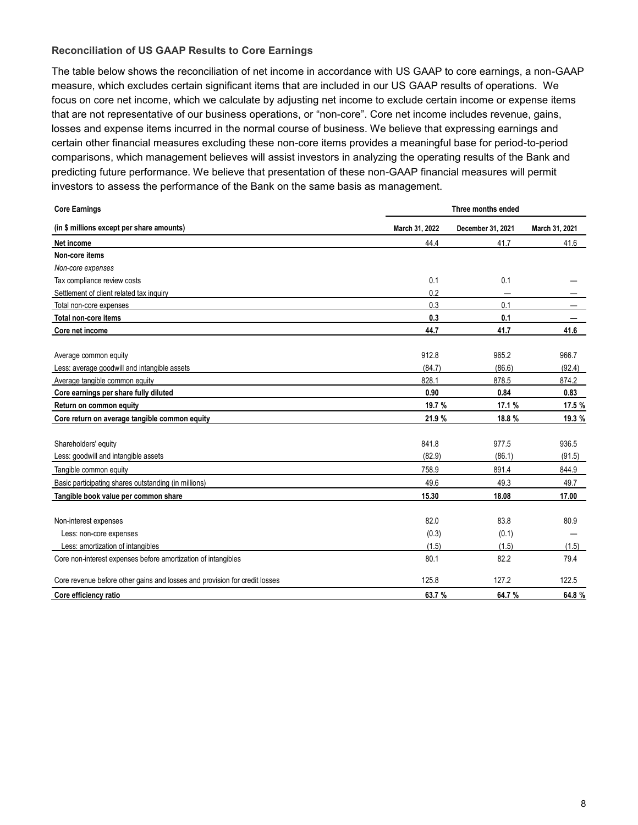### **Reconciliation of US GAAP Results to Core Earnings**

The table below shows the reconciliation of net income in accordance with US GAAP to core earnings, a non-GAAP measure, which excludes certain significant items that are included in our US GAAP results of operations. We focus on core net income, which we calculate by adjusting net income to exclude certain income or expense items that are not representative of our business operations, or "non-core". Core net income includes revenue, gains, losses and expense items incurred in the normal course of business. We believe that expressing earnings and certain other financial measures excluding these non-core items provides a meaningful base for period-to-period comparisons, which management believes will assist investors in analyzing the operating results of the Bank and predicting future performance. We believe that presentation of these non-GAAP financial measures will permit investors to assess the performance of the Bank on the same basis as management.

| <b>Core Earnings</b>                                                       | Three months ended |                   |                |
|----------------------------------------------------------------------------|--------------------|-------------------|----------------|
| (in \$ millions except per share amounts)                                  | March 31, 2022     | December 31, 2021 | March 31, 2021 |
| Net income                                                                 | 44.4               | 41.7              | 41.6           |
| Non-core items                                                             |                    |                   |                |
| Non-core expenses                                                          |                    |                   |                |
| Tax compliance review costs                                                | 0.1                | 0.1               |                |
| Settlement of client related tax inquiry                                   | 0.2                |                   |                |
| Total non-core expenses                                                    | 0.3                | 0.1               |                |
| Total non-core items                                                       | 0.3                | 0.1               |                |
| Core net income                                                            | 44.7               | 41.7              | 41.6           |
| Average common equity                                                      | 912.8              | 965.2             | 966.7          |
| Less: average goodwill and intangible assets                               | (84.7)             | (86.6)            | (92.4)         |
| Average tangible common equity                                             | 828.1              | 878.5             | 874.2          |
| Core earnings per share fully diluted                                      | 0.90               | 0.84              | 0.83           |
| Return on common equity                                                    | 19.7 %             | 17.1 %            | 17.5 %         |
| Core return on average tangible common equity                              | 21.9 %             | 18.8 %            | 19.3 %         |
| Shareholders' equity                                                       | 841.8              | 977.5             | 936.5          |
| Less: goodwill and intangible assets                                       | (82.9)             | (86.1)            | (91.5)         |
| Tangible common equity                                                     | 758.9              | 891.4             | 844.9          |
| Basic participating shares outstanding (in millions)                       | 49.6               | 49.3              | 49.7           |
| Tangible book value per common share                                       | 15.30              | 18.08             | 17.00          |
| Non-interest expenses                                                      | 82.0               | 83.8              | 80.9           |
| Less: non-core expenses                                                    | (0.3)              | (0.1)             |                |
| Less: amortization of intangibles                                          | (1.5)              | (1.5)             | (1.5)          |
| Core non-interest expenses before amortization of intangibles              | 80.1               | 82.2              | 79.4           |
| Core revenue before other gains and losses and provision for credit losses | 125.8              | 127.2             | 122.5          |
| Core efficiency ratio                                                      | 63.7 %             | 64.7%             | 64.8%          |